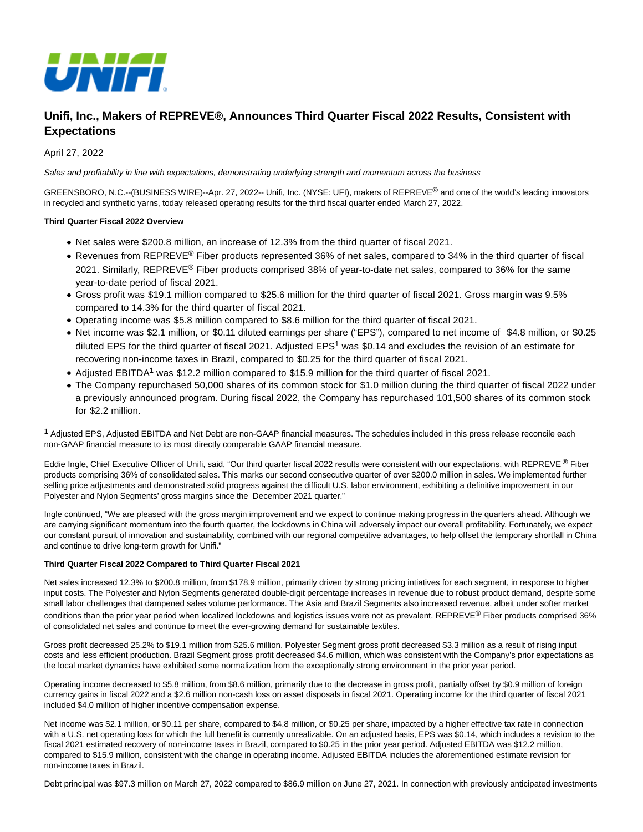

# **Unifi, Inc., Makers of REPREVE®, Announces Third Quarter Fiscal 2022 Results, Consistent with Expectations**

April 27, 2022

Sales and profitability in line with expectations, demonstrating underlying strength and momentum across the business

GREENSBORO, N.C.--(BUSINESS WIRE)--Apr. 27, 2022-- Unifi, Inc. (NYSE: UFI), makers of REPREVE® and one of the world's leading innovators in recycled and synthetic yarns, today released operating results for the third fiscal quarter ended March 27, 2022.

### **Third Quarter Fiscal 2022 Overview**

- Net sales were \$200.8 million, an increase of 12.3% from the third quarter of fiscal 2021.
- Revenues from REPREVE<sup>®</sup> Fiber products represented 36% of net sales, compared to 34% in the third quarter of fiscal 2021. Similarly, REPREVE® Fiber products comprised 38% of year-to-date net sales, compared to 36% for the same year-to-date period of fiscal 2021.
- Gross profit was \$19.1 million compared to \$25.6 million for the third quarter of fiscal 2021. Gross margin was 9.5% compared to 14.3% for the third quarter of fiscal 2021.
- Operating income was \$5.8 million compared to \$8.6 million for the third quarter of fiscal 2021.
- Net income was \$2.1 million, or \$0.11 diluted earnings per share ("EPS"), compared to net income of \$4.8 million, or \$0.25 diluted EPS for the third quarter of fiscal 2021. Adjusted EPS<sup>1</sup> was \$0.14 and excludes the revision of an estimate for recovering non-income taxes in Brazil, compared to \$0.25 for the third quarter of fiscal 2021.
- Adjusted EBITDA<sup>1</sup> was \$12.2 million compared to \$15.9 million for the third quarter of fiscal 2021.
- The Company repurchased 50,000 shares of its common stock for \$1.0 million during the third quarter of fiscal 2022 under a previously announced program. During fiscal 2022, the Company has repurchased 101,500 shares of its common stock for \$2.2 million.

 $1$  Adjusted EPS, Adjusted EBITDA and Net Debt are non-GAAP financial measures. The schedules included in this press release reconcile each non-GAAP financial measure to its most directly comparable GAAP financial measure.

Eddie Ingle, Chief Executive Officer of Unifi, said, "Our third quarter fiscal 2022 results were consistent with our expectations, with REPREVE ® Fiber products comprising 36% of consolidated sales. This marks our second consecutive quarter of over \$200.0 million in sales. We implemented further selling price adjustments and demonstrated solid progress against the difficult U.S. labor environment, exhibiting a definitive improvement in our Polyester and Nylon Segments' gross margins since the December 2021 quarter."

Ingle continued, "We are pleased with the gross margin improvement and we expect to continue making progress in the quarters ahead. Although we are carrying significant momentum into the fourth quarter, the lockdowns in China will adversely impact our overall profitability. Fortunately, we expect our constant pursuit of innovation and sustainability, combined with our regional competitive advantages, to help offset the temporary shortfall in China and continue to drive long-term growth for Unifi."

### **Third Quarter Fiscal 2022 Compared to Third Quarter Fiscal 2021**

Net sales increased 12.3% to \$200.8 million, from \$178.9 million, primarily driven by strong pricing intiatives for each segment, in response to higher input costs. The Polyester and Nylon Segments generated double-digit percentage increases in revenue due to robust product demand, despite some small labor challenges that dampened sales volume performance. The Asia and Brazil Segments also increased revenue, albeit under softer market conditions than the prior year period when localized lockdowns and logistics issues were not as prevalent. REPREVE<sup>®</sup> Fiber products comprised 36% of consolidated net sales and continue to meet the ever-growing demand for sustainable textiles.

Gross profit decreased 25.2% to \$19.1 million from \$25.6 million. Polyester Segment gross profit decreased \$3.3 million as a result of rising input costs and less efficient production. Brazil Segment gross profit decreased \$4.6 million, which was consistent with the Company's prior expectations as the local market dynamics have exhibited some normalization from the exceptionally strong environment in the prior year period.

Operating income decreased to \$5.8 million, from \$8.6 million, primarily due to the decrease in gross profit, partially offset by \$0.9 million of foreign currency gains in fiscal 2022 and a \$2.6 million non-cash loss on asset disposals in fiscal 2021. Operating income for the third quarter of fiscal 2021 included \$4.0 million of higher incentive compensation expense.

Net income was \$2.1 million, or \$0.11 per share, compared to \$4.8 million, or \$0.25 per share, impacted by a higher effective tax rate in connection with a U.S. net operating loss for which the full benefit is currently unrealizable. On an adjusted basis, EPS was \$0.14, which includes a revision to the fiscal 2021 estimated recovery of non-income taxes in Brazil, compared to \$0.25 in the prior year period. Adjusted EBITDA was \$12.2 million, compared to \$15.9 million, consistent with the change in operating income. Adjusted EBITDA includes the aforementioned estimate revision for non-income taxes in Brazil.

Debt principal was \$97.3 million on March 27, 2022 compared to \$86.9 million on June 27, 2021. In connection with previously anticipated investments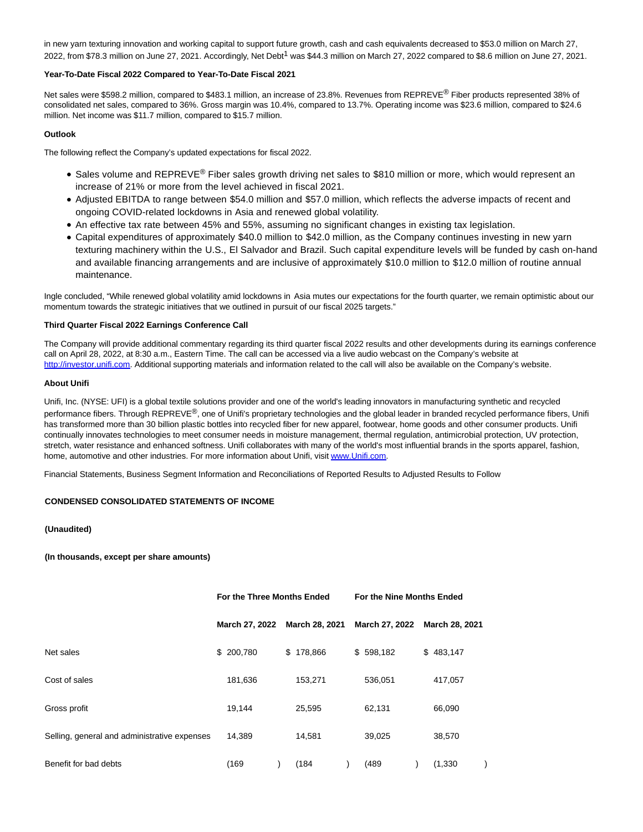in new yarn texturing innovation and working capital to support future growth, cash and cash equivalents decreased to \$53.0 million on March 27, 2022, from \$78.3 million on June 27, 2021. Accordingly, Net Debt<sup>1</sup> was \$44.3 million on March 27, 2022 compared to \$8.6 million on June 27, 2021.

### **Year-To-Date Fiscal 2022 Compared to Year-To-Date Fiscal 2021**

Net sales were \$598.2 million, compared to \$483.1 million, an increase of 23.8%. Revenues from REPREVE® Fiber products represented 38% of consolidated net sales, compared to 36%. Gross margin was 10.4%, compared to 13.7%. Operating income was \$23.6 million, compared to \$24.6 million. Net income was \$11.7 million, compared to \$15.7 million.

## **Outlook**

The following reflect the Company's updated expectations for fiscal 2022.

- Sales volume and REPREVE® Fiber sales growth driving net sales to \$810 million or more, which would represent an increase of 21% or more from the level achieved in fiscal 2021.
- Adjusted EBITDA to range between \$54.0 million and \$57.0 million, which reflects the adverse impacts of recent and ongoing COVID-related lockdowns in Asia and renewed global volatility.
- An effective tax rate between 45% and 55%, assuming no significant changes in existing tax legislation.
- Capital expenditures of approximately \$40.0 million to \$42.0 million, as the Company continues investing in new yarn texturing machinery within the U.S., El Salvador and Brazil. Such capital expenditure levels will be funded by cash on-hand and available financing arrangements and are inclusive of approximately \$10.0 million to \$12.0 million of routine annual maintenance.

Ingle concluded, "While renewed global volatility amid lockdowns in Asia mutes our expectations for the fourth quarter, we remain optimistic about our momentum towards the strategic initiatives that we outlined in pursuit of our fiscal 2025 targets."

### **Third Quarter Fiscal 2022 Earnings Conference Call**

The Company will provide additional commentary regarding its third quarter fiscal 2022 results and other developments during its earnings conference call on April 28, 2022, at 8:30 a.m., Eastern Time. The call can be accessed via a live audio webcast on the Company's website at [http://investor.unifi.com.](https://cts.businesswire.com/ct/CT?id=smartlink&url=http%3A%2F%2Finvestor.unifi.com&esheet=52699235&newsitemid=20220427005637&lan=en-US&anchor=http%3A%2F%2Finvestor.unifi.com&index=1&md5=258e121b471726a2d55c96153d8513bf) Additional supporting materials and information related to the call will also be available on the Company's website.

### **About Unifi**

Unifi, Inc. (NYSE: UFI) is a global textile solutions provider and one of the world's leading innovators in manufacturing synthetic and recycled performance fibers. Through REPREVE<sup>®</sup>, one of Unifi's proprietary technologies and the global leader in branded recycled performance fibers, Unifi has transformed more than 30 billion plastic bottles into recycled fiber for new apparel, footwear, home goods and other consumer products. Unifi continually innovates technologies to meet consumer needs in moisture management, thermal regulation, antimicrobial protection, UV protection, stretch, water resistance and enhanced softness. Unifi collaborates with many of the world's most influential brands in the sports apparel, fashion, home, automotive and other industries. For more information about Unifi, visi[t www.Unifi.com.](https://cts.businesswire.com/ct/CT?id=smartlink&url=http%3A%2F%2Fwww.Unifi.com&esheet=52699235&newsitemid=20220427005637&lan=en-US&anchor=www.Unifi.com&index=2&md5=c473651786eadb047e2d773b70a2703d)

Financial Statements, Business Segment Information and Reconciliations of Reported Results to Adjusted Results to Follow

## **CONDENSED CONSOLIDATED STATEMENTS OF INCOME**

## **(Unaudited)**

**(In thousands, except per share amounts)**

|                                              | For the Three Months Ended |                |    |                | For the Nine Months Ended |                |  |                |  |  |
|----------------------------------------------|----------------------------|----------------|----|----------------|---------------------------|----------------|--|----------------|--|--|
|                                              |                            | March 27, 2022 |    | March 28, 2021 |                           | March 27, 2022 |  | March 28, 2021 |  |  |
| Net sales                                    |                            | \$ 200,780     | \$ | 178,866        |                           | \$598,182      |  | \$483,147      |  |  |
| Cost of sales                                |                            | 181,636        |    | 153,271        |                           | 536,051        |  | 417,057        |  |  |
| Gross profit                                 |                            | 19,144         |    | 25,595         |                           | 62,131         |  | 66,090         |  |  |
| Selling, general and administrative expenses |                            | 14,389         |    | 14,581         |                           | 39,025         |  | 38,570         |  |  |
| Benefit for bad debts                        |                            | (169)          |    | (184)          |                           | (489)          |  | (1, 330)       |  |  |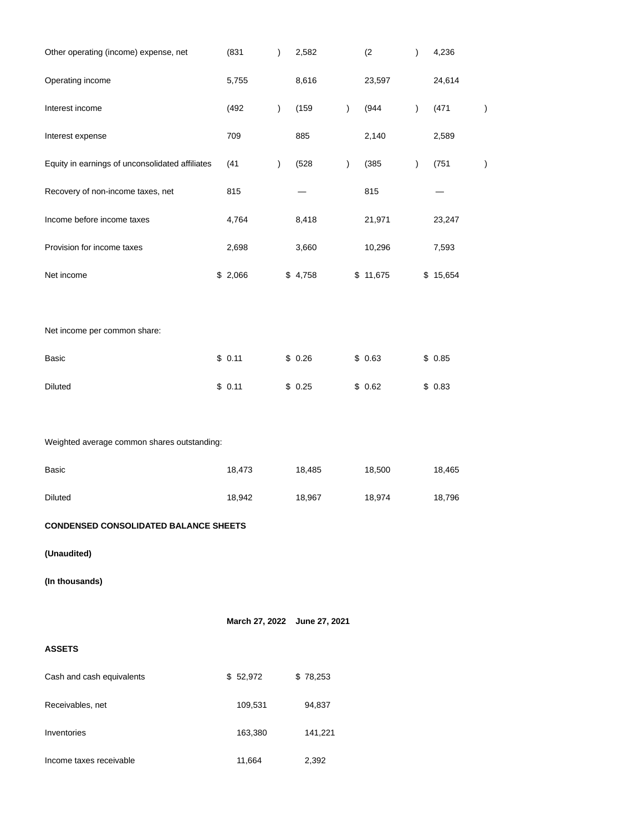| Other operating (income) expense, net           | (831)    | $\big)$       | 2,582                        |               | (2)      | $\mathcal{C}^{\prime}$ | 4,236    |   |
|-------------------------------------------------|----------|---------------|------------------------------|---------------|----------|------------------------|----------|---|
| Operating income                                | 5,755    |               | 8,616                        |               | 23,597   |                        | 24,614   |   |
| Interest income                                 | (492)    | $\mathcal{L}$ | (159)                        | $\lambda$     | (944)    | $\mathcal{E}$          | (471)    | ⟩ |
| Interest expense                                | 709      |               | 885                          |               | 2,140    |                        | 2,589    |   |
| Equity in earnings of unconsolidated affiliates | (41)     | $\lambda$     | (528)                        | $\mathcal{C}$ | (385)    | $\mathcal{L}$          | (751)    |   |
| Recovery of non-income taxes, net               | 815      |               |                              |               | 815      |                        |          |   |
| Income before income taxes                      | 4,764    |               | 8,418                        |               | 21,971   |                        | 23,247   |   |
| Provision for income taxes                      | 2,698    |               | 3,660                        |               | 10,296   |                        | 7,593    |   |
| Net income                                      | \$2,066  |               | \$4,758                      |               | \$11,675 |                        | \$15,654 |   |
|                                                 |          |               |                              |               |          |                        |          |   |
| Net income per common share:                    |          |               |                              |               |          |                        |          |   |
| Basic                                           | \$0.11   |               | \$0.26                       |               | \$0.63   |                        | \$0.85   |   |
| Diluted                                         | \$0.11   |               | \$0.25                       |               | \$0.62   |                        | \$0.83   |   |
|                                                 |          |               |                              |               |          |                        |          |   |
| Weighted average common shares outstanding:     |          |               |                              |               |          |                        |          |   |
| Basic                                           | 18,473   |               | 18,485                       |               | 18,500   |                        | 18,465   |   |
| <b>Diluted</b>                                  | 18,942   |               | 18,967                       |               | 18,974   |                        | 18,796   |   |
| <b>CONDENSED CONSOLIDATED BALANCE SHEETS</b>    |          |               |                              |               |          |                        |          |   |
| (Unaudited)                                     |          |               |                              |               |          |                        |          |   |
| (In thousands)                                  |          |               |                              |               |          |                        |          |   |
|                                                 |          |               | March 27, 2022 June 27, 2021 |               |          |                        |          |   |
| <b>ASSETS</b>                                   |          |               |                              |               |          |                        |          |   |
|                                                 |          |               |                              |               |          |                        |          |   |
| Cash and cash equivalents                       | \$52,972 |               | \$78,253                     |               |          |                        |          |   |
| Receivables, net                                | 109,531  |               | 94,837                       |               |          |                        |          |   |
| Inventories                                     | 163,380  |               | 141,221                      |               |          |                        |          |   |
| Income taxes receivable                         | 11,664   |               | 2,392                        |               |          |                        |          |   |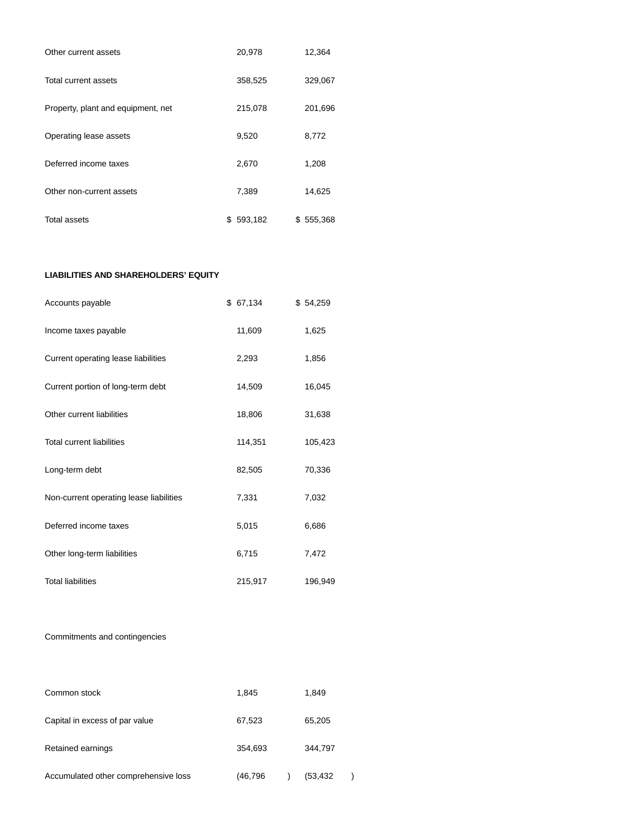| Other current assets               |   | 20,978  | 12,364    |
|------------------------------------|---|---------|-----------|
| Total current assets               |   | 358,525 | 329,067   |
| Property, plant and equipment, net |   | 215,078 | 201,696   |
| Operating lease assets             |   | 9,520   | 8,772     |
| Deferred income taxes              |   | 2,670   | 1,208     |
| Other non-current assets           |   | 7,389   | 14,625    |
| <b>Total assets</b>                | S | 593,182 | \$555,368 |

## **LIABILITIES AND SHAREHOLDERS' EQUITY**

| Accounts payable                        | \$ 67,134 | \$54,259 |
|-----------------------------------------|-----------|----------|
| Income taxes payable                    | 11,609    | 1,625    |
| Current operating lease liabilities     | 2,293     | 1,856    |
| Current portion of long-term debt       | 14,509    | 16,045   |
| Other current liabilities               | 18,806    | 31,638   |
| <b>Total current liabilities</b>        | 114,351   | 105,423  |
| Long-term debt                          | 82,505    | 70,336   |
| Non-current operating lease liabilities | 7,331     | 7,032    |
| Deferred income taxes                   | 5,015     | 6,686    |
| Other long-term liabilities             | 6,715     | 7,472    |
| <b>Total liabilities</b>                | 215,917   | 196,949  |

## Commitments and contingencies

| Common stock                         | 1.845   | 1.849     |
|--------------------------------------|---------|-----------|
| Capital in excess of par value       | 67,523  | 65,205    |
| Retained earnings                    | 354,693 | 344,797   |
| Accumulated other comprehensive loss | (46,796 | (53, 432) |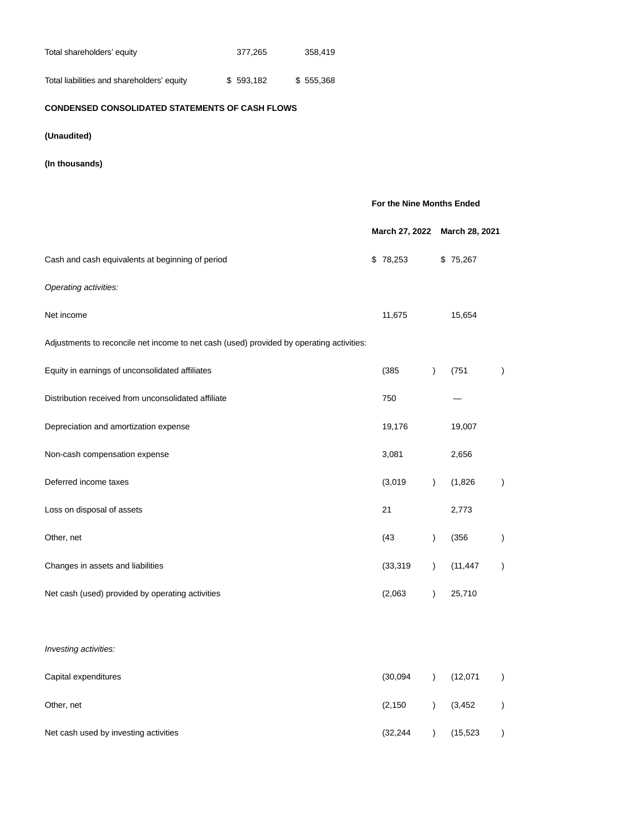| Total shareholders' equity                 | 377.265   | 358.419   |
|--------------------------------------------|-----------|-----------|
| Total liabilities and shareholders' equity | \$593.182 | \$555,368 |

## **CONDENSED CONSOLIDATED STATEMENTS OF CASH FLOWS**

- **(Unaudited)**
- **(In thousands)**

|                                                                                          | For the Nine Months Ended |                |               |                |               |
|------------------------------------------------------------------------------------------|---------------------------|----------------|---------------|----------------|---------------|
|                                                                                          |                           | March 27, 2022 |               | March 28, 2021 |               |
| Cash and cash equivalents at beginning of period                                         |                           | \$78,253       |               | \$75,267       |               |
| Operating activities:                                                                    |                           |                |               |                |               |
| Net income                                                                               |                           | 11,675         |               | 15,654         |               |
| Adjustments to reconcile net income to net cash (used) provided by operating activities: |                           |                |               |                |               |
| Equity in earnings of unconsolidated affiliates                                          |                           | (385)          | $\lambda$     | (751)          | $\mathcal{L}$ |
| Distribution received from unconsolidated affiliate                                      |                           | 750            |               |                |               |
| Depreciation and amortization expense                                                    |                           | 19,176         |               | 19,007         |               |
| Non-cash compensation expense                                                            |                           | 3,081          |               | 2,656          |               |
| Deferred income taxes                                                                    |                           | (3,019)        | $\lambda$     | (1,826)        | $\mathcal{L}$ |
| Loss on disposal of assets                                                               |                           | 21             |               | 2,773          |               |
| Other, net                                                                               |                           | (43)           | $\mathcal{L}$ | (356)          | $\mathcal{L}$ |
| Changes in assets and liabilities                                                        |                           | (33, 319)      | $\lambda$     | (11, 447)      | $\mathcal{L}$ |
| Net cash (used) provided by operating activities                                         |                           | (2,063)        | $\lambda$     | 25,710         |               |
|                                                                                          |                           |                |               |                |               |
| Investing activities:                                                                    |                           |                |               |                |               |
| Capital expenditures                                                                     |                           | (30,094)       | $\lambda$     | (12,071)       | $\mathcal{C}$ |
| Other, net                                                                               |                           | (2, 150)       | $\mathcal{L}$ | (3, 452)       | $\mathcal{C}$ |
| Net cash used by investing activities                                                    |                           | (32, 244)      | $\mathcal{L}$ | (15, 523)      | $\big)$       |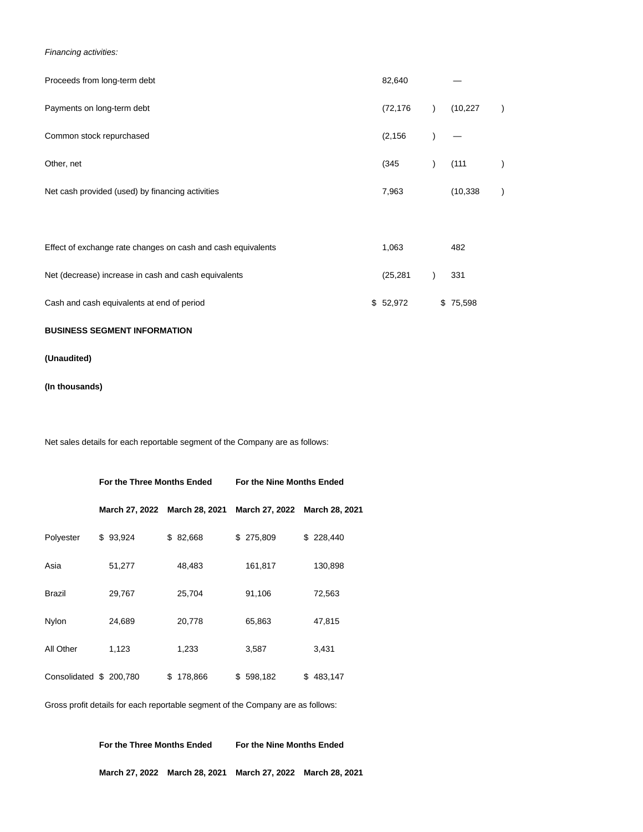Financing activities:

| Proceeds from long-term debt                                 | 82,640    |           |  |
|--------------------------------------------------------------|-----------|-----------|--|
| Payments on long-term debt                                   | (72, 176) | (10, 227) |  |
| Common stock repurchased                                     | (2, 156)  |           |  |
| Other, net                                                   | (345)     | (111)     |  |
| Net cash provided (used) by financing activities             | 7,963     | (10, 338) |  |
|                                                              |           |           |  |
| Effect of exchange rate changes on cash and cash equivalents | 1,063     | 482       |  |
| Net (decrease) increase in cash and cash equivalents         | (25, 281) | 331       |  |

Cash and cash equivalents at end of period  $$52,972$  \$75,598

## **BUSINESS SEGMENT INFORMATION**

**(Unaudited)**

**(In thousands)**

Net sales details for each reportable segment of the Company are as follows:

|                         | For the Three Months Ended |                               | For the Nine Months Ended |                               |  |  |  |
|-------------------------|----------------------------|-------------------------------|---------------------------|-------------------------------|--|--|--|
|                         |                            | March 27, 2022 March 28, 2021 |                           | March 27, 2022 March 28, 2021 |  |  |  |
| Polyester               | \$93,924                   | \$ 82,668                     | \$275,809                 | \$228,440                     |  |  |  |
| Asia                    | 51,277                     | 48,483                        | 161,817                   | 130,898                       |  |  |  |
| Brazil                  | 29,767                     | 25,704                        | 91,106                    | 72,563                        |  |  |  |
| Nylon                   | 24,689                     | 20,778                        | 65,863                    | 47,815                        |  |  |  |
| All Other               | 1,123                      | 1,233                         | 3,587                     | 3,431                         |  |  |  |
| Consolidated \$ 200,780 |                            | 178,866<br>\$                 | \$598,182                 | 483,147<br>\$.                |  |  |  |

Gross profit details for each reportable segment of the Company are as follows:

**For the Three Months Ended For the Nine Months Ended**

**March 27, 2022 March 28, 2021 March 27, 2022 March 28, 2021**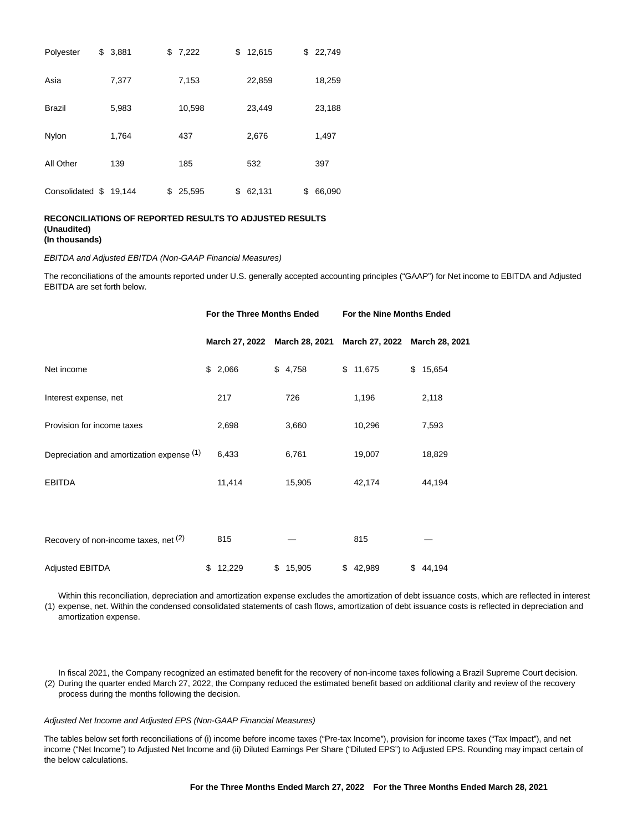| Polyester       | \$<br>3,881 | \$<br>7,222  | \$<br>12,615 | \$22,749     |
|-----------------|-------------|--------------|--------------|--------------|
| Asia            | 7,377       | 7,153        | 22,859       | 18,259       |
| <b>Brazil</b>   | 5,983       | 10,598       | 23,449       | 23,188       |
| Nylon           | 1,764       | 437          | 2,676        | 1,497        |
| All Other       | 139         | 185          | 532          | 397          |
| Consolidated \$ | 19.144      | \$<br>25,595 | \$<br>62,131 | \$<br>66,090 |

#### **RECONCILIATIONS OF REPORTED RESULTS TO ADJUSTED RESULTS (Unaudited) (In thousands)**

#### EBITDA and Adjusted EBITDA (Non-GAAP Financial Measures)

The reconciliations of the amounts reported under U.S. generally accepted accounting principles ("GAAP") for Net income to EBITDA and Adjusted EBITDA are set forth below.

|                                           | For the Three Months Ended |                               |  | For the Nine Months Ended |  |                               |  |          |
|-------------------------------------------|----------------------------|-------------------------------|--|---------------------------|--|-------------------------------|--|----------|
|                                           |                            | March 27, 2022 March 28, 2021 |  |                           |  | March 27, 2022 March 28, 2021 |  |          |
| Net income                                |                            | \$2,066                       |  | \$4,758                   |  | \$11,675                      |  | \$15,654 |
| Interest expense, net                     |                            | 217                           |  | 726                       |  | 1,196                         |  | 2,118    |
| Provision for income taxes                |                            | 2,698                         |  | 3,660                     |  | 10,296                        |  | 7,593    |
| Depreciation and amortization expense (1) |                            | 6,433                         |  | 6,761                     |  | 19,007                        |  | 18,829   |
| <b>EBITDA</b>                             |                            | 11,414                        |  | 15,905                    |  | 42,174                        |  | 44,194   |
|                                           |                            |                               |  |                           |  |                               |  |          |
| Recovery of non-income taxes, net (2)     |                            | 815                           |  |                           |  | 815                           |  |          |
| Adjusted EBITDA                           |                            | \$12,229                      |  | \$15,905                  |  | \$42,989                      |  | \$44,194 |

(1) expense, net. Within the condensed consolidated statements of cash flows, amortization of debt issuance costs is reflected in depreciation and Within this reconciliation, depreciation and amortization expense excludes the amortization of debt issuance costs, which are reflected in interest amortization expense.

(2) During the quarter ended March 27, 2022, the Company reduced the estimated benefit based on additional clarity and review of the recovery In fiscal 2021, the Company recognized an estimated benefit for the recovery of non-income taxes following a Brazil Supreme Court decision. process during the months following the decision.

#### Adjusted Net Income and Adjusted EPS (Non-GAAP Financial Measures)

The tables below set forth reconciliations of (i) income before income taxes ("Pre-tax Income"), provision for income taxes ("Tax Impact"), and net income ("Net Income") to Adjusted Net Income and (ii) Diluted Earnings Per Share ("Diluted EPS") to Adjusted EPS. Rounding may impact certain of the below calculations.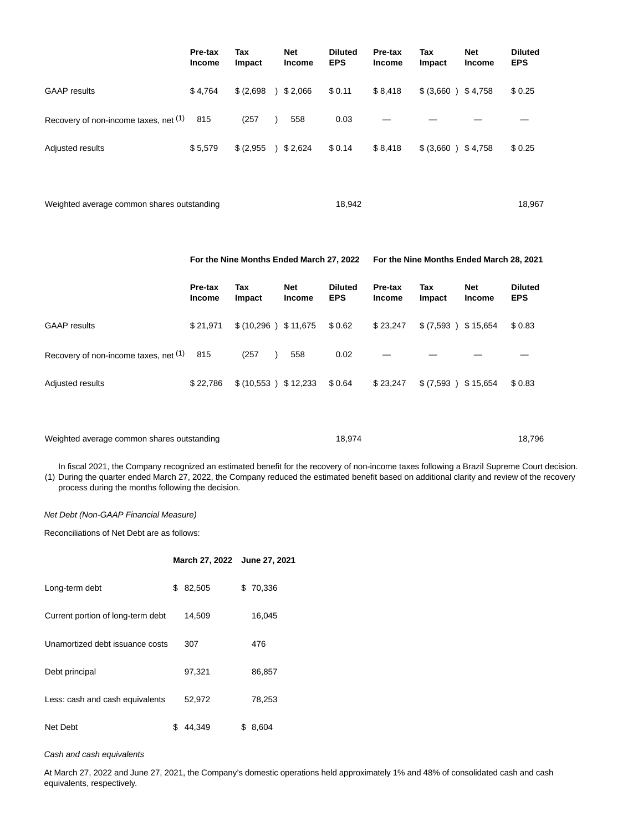|                                       | Pre-tax<br><b>Income</b> | Tax<br>Impact | <b>Net</b><br><b>Income</b> | <b>Diluted</b><br><b>EPS</b> | Pre-tax<br><b>Income</b> | Tax<br><b>Impact</b> | <b>Net</b><br><b>Income</b> | <b>Diluted</b><br><b>EPS</b> |
|---------------------------------------|--------------------------|---------------|-----------------------------|------------------------------|--------------------------|----------------------|-----------------------------|------------------------------|
| <b>GAAP</b> results                   | \$4,764                  | \$ (2,698)    | 32,066                      | \$0.11                       | \$8,418                  | \$ (3,660 ) \$4,758  |                             | \$0.25                       |
| Recovery of non-income taxes, net (1) | 815                      | (257)         | 558                         | 0.03                         |                          |                      |                             |                              |
| Adjusted results                      | \$5,579                  | \$(2,955)     | 32,624                      | \$0.14                       | \$8,418                  | \$ (3,660 ) \$4,758  |                             | \$0.25                       |
|                                       |                          |               |                             |                              |                          |                      |                             |                              |

Weighted average common shares outstanding 18,967 18,942 18,967

## **For the Nine Months Ended March 27, 2022 For the Nine Months Ended March 28, 2021**

|                                       | Pre-tax<br><b>Income</b> | Tax<br><b>Impact</b>    | <b>Net</b><br><b>Income</b> | <b>Diluted</b><br><b>EPS</b> | Pre-tax<br><b>Income</b> | Tax<br><b>Impact</b> | <b>Net</b><br><b>Income</b> | <b>Diluted</b><br><b>EPS</b> |
|---------------------------------------|--------------------------|-------------------------|-----------------------------|------------------------------|--------------------------|----------------------|-----------------------------|------------------------------|
| <b>GAAP</b> results                   | \$21.971                 | $$(10,296)$ $$11,675$   |                             | \$0.62                       | \$23,247                 | \$(7,593)            | \$15,654                    | \$0.83                       |
| Recovery of non-income taxes, net (1) | 815                      | (257)                   | 558                         | 0.02                         |                          |                      |                             |                              |
| Adjusted results                      | \$22,786                 | \$ (10,553) \$ \$12,233 |                             | \$0.64                       | \$23,247                 | \$ (7,593)           | \$15,654                    | \$0.83                       |

| Weighted average common shares outstanding | 18.974 | 18.796 |
|--------------------------------------------|--------|--------|
|--------------------------------------------|--------|--------|

(1) During the quarter ended March 27, 2022, the Company reduced the estimated benefit based on additional clarity and review of the recovery In fiscal 2021, the Company recognized an estimated benefit for the recovery of non-income taxes following a Brazil Supreme Court decision. process during the months following the decision.

### Net Debt (Non-GAAP Financial Measure)

Reconciliations of Net Debt are as follows:

|                                   |    | March 27, 2022 June 27, 2021 |              |
|-----------------------------------|----|------------------------------|--------------|
| Long-term debt                    | \$ | 82,505                       | \$<br>70,336 |
| Current portion of long-term debt |    | 14,509                       | 16,045       |
| Unamortized debt issuance costs   |    | 307                          | 476          |
| Debt principal                    |    | 97,321                       | 86,857       |
| Less: cash and cash equivalents   |    | 52,972                       | 78,253       |
| Net Debt                          | S  | 44,349                       | \$<br>8,604  |

Cash and cash equivalents

At March 27, 2022 and June 27, 2021, the Company's domestic operations held approximately 1% and 48% of consolidated cash and cash equivalents, respectively.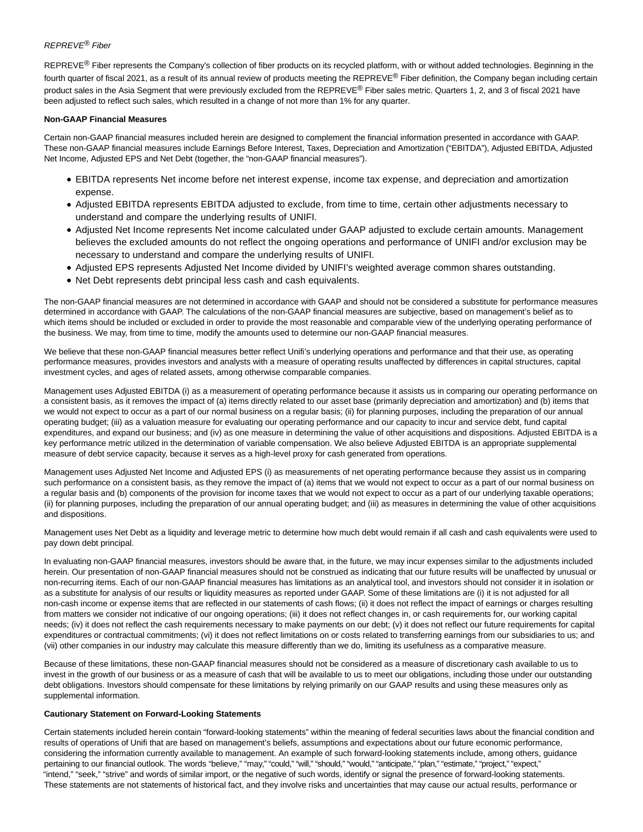## REPREVE® Fiber

 $REPREVE<sup>®</sup>$  Fiber represents the Company's collection of fiber products on its recycled platform, with or without added technologies. Beginning in the fourth quarter of fiscal 2021, as a result of its annual review of products meeting the REPREVE® Fiber definition, the Company began including certain product sales in the Asia Segment that were previously excluded from the REPREVE® Fiber sales metric. Quarters 1, 2, and 3 of fiscal 2021 have been adjusted to reflect such sales, which resulted in a change of not more than 1% for any quarter.

### **Non-GAAP Financial Measures**

Certain non-GAAP financial measures included herein are designed to complement the financial information presented in accordance with GAAP. These non-GAAP financial measures include Earnings Before Interest, Taxes, Depreciation and Amortization ("EBITDA"), Adjusted EBITDA, Adjusted Net Income, Adjusted EPS and Net Debt (together, the "non-GAAP financial measures").

- EBITDA represents Net income before net interest expense, income tax expense, and depreciation and amortization expense.
- Adjusted EBITDA represents EBITDA adjusted to exclude, from time to time, certain other adjustments necessary to understand and compare the underlying results of UNIFI.
- Adjusted Net Income represents Net income calculated under GAAP adjusted to exclude certain amounts. Management believes the excluded amounts do not reflect the ongoing operations and performance of UNIFI and/or exclusion may be necessary to understand and compare the underlying results of UNIFI.
- Adjusted EPS represents Adjusted Net Income divided by UNIFI's weighted average common shares outstanding.
- Net Debt represents debt principal less cash and cash equivalents.

The non-GAAP financial measures are not determined in accordance with GAAP and should not be considered a substitute for performance measures determined in accordance with GAAP. The calculations of the non-GAAP financial measures are subjective, based on management's belief as to which items should be included or excluded in order to provide the most reasonable and comparable view of the underlying operating performance of the business. We may, from time to time, modify the amounts used to determine our non-GAAP financial measures.

We believe that these non-GAAP financial measures better reflect Unifi's underlying operations and performance and that their use, as operating performance measures, provides investors and analysts with a measure of operating results unaffected by differences in capital structures, capital investment cycles, and ages of related assets, among otherwise comparable companies.

Management uses Adjusted EBITDA (i) as a measurement of operating performance because it assists us in comparing our operating performance on a consistent basis, as it removes the impact of (a) items directly related to our asset base (primarily depreciation and amortization) and (b) items that we would not expect to occur as a part of our normal business on a regular basis; (ii) for planning purposes, including the preparation of our annual operating budget; (iii) as a valuation measure for evaluating our operating performance and our capacity to incur and service debt, fund capital expenditures, and expand our business; and (iv) as one measure in determining the value of other acquisitions and dispositions. Adjusted EBITDA is a key performance metric utilized in the determination of variable compensation. We also believe Adjusted EBITDA is an appropriate supplemental measure of debt service capacity, because it serves as a high-level proxy for cash generated from operations.

Management uses Adjusted Net Income and Adjusted EPS (i) as measurements of net operating performance because they assist us in comparing such performance on a consistent basis, as they remove the impact of (a) items that we would not expect to occur as a part of our normal business on a regular basis and (b) components of the provision for income taxes that we would not expect to occur as a part of our underlying taxable operations; (ii) for planning purposes, including the preparation of our annual operating budget; and (iii) as measures in determining the value of other acquisitions and dispositions.

Management uses Net Debt as a liquidity and leverage metric to determine how much debt would remain if all cash and cash equivalents were used to pay down debt principal.

In evaluating non-GAAP financial measures, investors should be aware that, in the future, we may incur expenses similar to the adjustments included herein. Our presentation of non-GAAP financial measures should not be construed as indicating that our future results will be unaffected by unusual or non-recurring items. Each of our non-GAAP financial measures has limitations as an analytical tool, and investors should not consider it in isolation or as a substitute for analysis of our results or liquidity measures as reported under GAAP. Some of these limitations are (i) it is not adjusted for all non-cash income or expense items that are reflected in our statements of cash flows; (ii) it does not reflect the impact of earnings or charges resulting from matters we consider not indicative of our ongoing operations; (iii) it does not reflect changes in, or cash requirements for, our working capital needs; (iv) it does not reflect the cash requirements necessary to make payments on our debt; (v) it does not reflect our future requirements for capital expenditures or contractual commitments; (vi) it does not reflect limitations on or costs related to transferring earnings from our subsidiaries to us; and (vii) other companies in our industry may calculate this measure differently than we do, limiting its usefulness as a comparative measure.

Because of these limitations, these non-GAAP financial measures should not be considered as a measure of discretionary cash available to us to invest in the growth of our business or as a measure of cash that will be available to us to meet our obligations, including those under our outstanding debt obligations. Investors should compensate for these limitations by relying primarily on our GAAP results and using these measures only as supplemental information.

### **Cautionary Statement on Forward-Looking Statements**

Certain statements included herein contain "forward-looking statements" within the meaning of federal securities laws about the financial condition and results of operations of Unifi that are based on management's beliefs, assumptions and expectations about our future economic performance, considering the information currently available to management. An example of such forward-looking statements include, among others, guidance pertaining to our financial outlook. The words "believe," "may," "could," "will," "should," "would," "anticipate," "plan," "estimate," "project," "expect," "intend," "seek," "strive" and words of similar import, or the negative of such words, identify or signal the presence of forward-looking statements. These statements are not statements of historical fact, and they involve risks and uncertainties that may cause our actual results, performance or